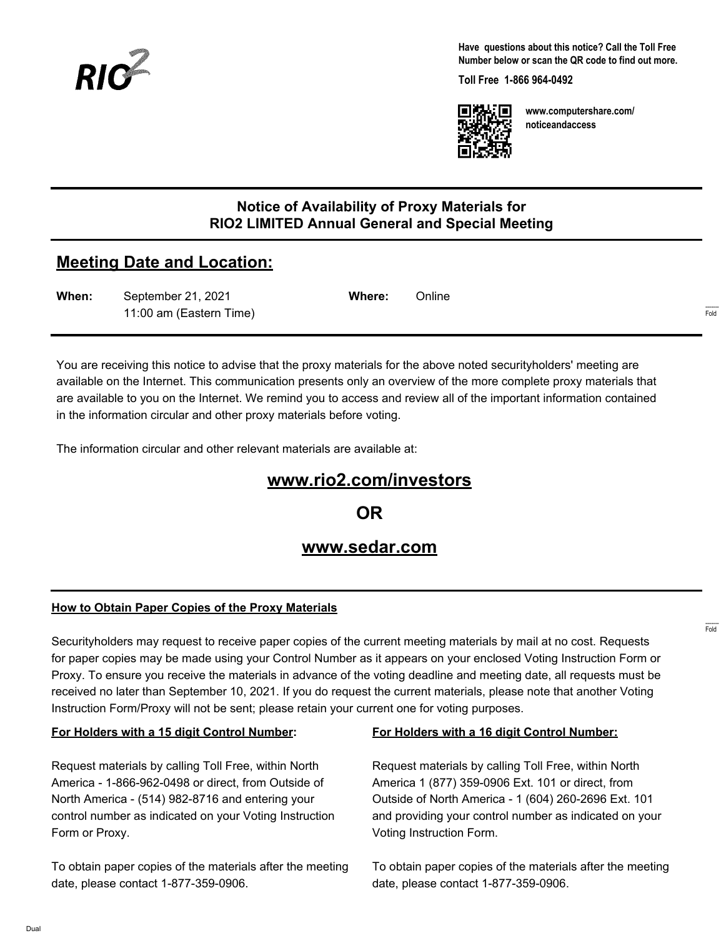

**Have questions about this notice? Call the Toll Free Number below or scan the QR code to find out more.**

**Toll Free 1-866 964-0492**



**www.computershare.com/ noticeandaccess**

### **Notice of Availability of Proxy Materials for RIO2 LIMITED Annual General and Special Meeting**

# **Meeting Date and Location:**

| When: | September 21, 2021      | Where: | Online |      |
|-------|-------------------------|--------|--------|------|
|       | 11:00 am (Eastern Time) |        |        | Fold |

You are receiving this notice to advise that the proxy materials for the above noted securityholders' meeting are available on the Internet. This communication presents only an overview of the more complete proxy materials that are available to you on the Internet. We remind you to access and review all of the important information contained in the information circular and other proxy materials before voting.

The information circular and other relevant materials are available at:

# **www.rio2.com/investors**

**OR**

## **www.sedar.com**

#### **How to Obtain Paper Copies of the Proxy Materials**

Securityholders may request to receive paper copies of the current meeting materials by mail at no cost. Requests for paper copies may be made using your Control Number as it appears on your enclosed Voting Instruction Form or Proxy. To ensure you receive the materials in advance of the voting deadline and meeting date, all requests must be received no later than September 10, 2021. If you do request the current materials, please note that another Voting Instruction Form/Proxy will not be sent; please retain your current one for voting purposes.

#### **For Holders with a 15 digit Control Number:**

Request materials by calling Toll Free, within North America - 1-866-962-0498 or direct, from Outside of North America - (514) 982-8716 and entering your control number as indicated on your Voting Instruction Form or Proxy.

To obtain paper copies of the materials after the meeting date, please contact 1-877-359-0906.

#### **For Holders with a 16 digit Control Number:**

Request materials by calling Toll Free, within North America 1 (877) 359-0906 Ext. 101 or direct, from Outside of North America - 1 (604) 260-2696 Ext. 101 and providing your control number as indicated on your Voting Instruction Form.

To obtain paper copies of the materials after the meeting date, please contact 1-877-359-0906.

------- Fold